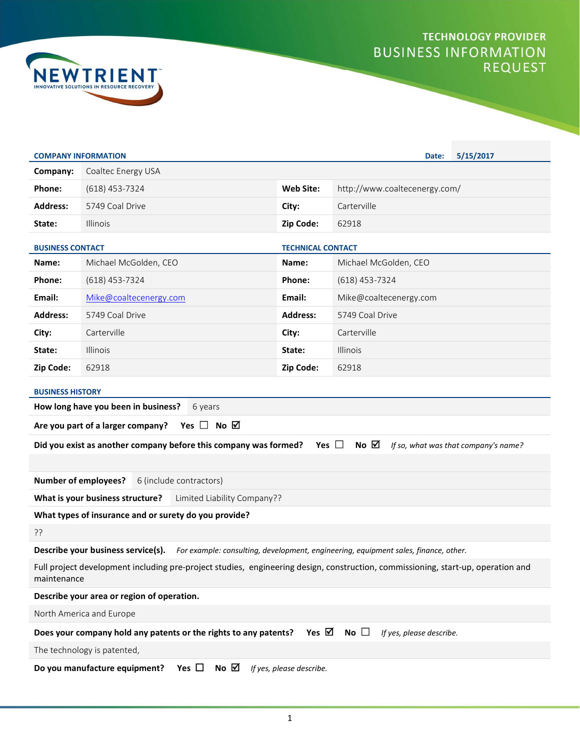



| <b>COMPANY INFORMATION</b>                                                                                                                      |                                                                  |                          | Date:                         | 5/15/2017                            |  |
|-------------------------------------------------------------------------------------------------------------------------------------------------|------------------------------------------------------------------|--------------------------|-------------------------------|--------------------------------------|--|
| Company:                                                                                                                                        | Coaltec Energy USA                                               |                          |                               |                                      |  |
| Phone:                                                                                                                                          | $(618)$ 453-7324                                                 | <b>Web Site:</b>         | http://www.coaltecenergy.com/ |                                      |  |
| <b>Address:</b>                                                                                                                                 | 5749 Coal Drive                                                  | City:                    | Carterville                   |                                      |  |
| State:                                                                                                                                          | Illinois                                                         | Zip Code:                | 62918                         |                                      |  |
| <b>BUSINESS CONTACT</b>                                                                                                                         |                                                                  | <b>TECHNICAL CONTACT</b> |                               |                                      |  |
| Name:                                                                                                                                           | Michael McGolden, CEO                                            | Name:                    | Michael McGolden, CEO         |                                      |  |
| Phone:                                                                                                                                          | $(618)$ 453-7324                                                 | Phone:                   | (618) 453-7324                |                                      |  |
| Email:                                                                                                                                          | Mike@coaltecenergy.com                                           | Email:                   | Mike@coaltecenergy.com        |                                      |  |
| <b>Address:</b>                                                                                                                                 | 5749 Coal Drive                                                  | <b>Address:</b>          | 5749 Coal Drive               |                                      |  |
| City:                                                                                                                                           | Carterville                                                      | City:                    | Carterville                   |                                      |  |
| State:                                                                                                                                          | Illinois                                                         | State:                   | <b>Illinois</b>               |                                      |  |
| Zip Code:                                                                                                                                       | 62918                                                            | Zip Code:                | 62918                         |                                      |  |
| <b>BUSINESS HISTORY</b>                                                                                                                         |                                                                  |                          |                               |                                      |  |
|                                                                                                                                                 | How long have you been in business?<br>6 years                   |                          |                               |                                      |  |
|                                                                                                                                                 | Are you part of a larger company? Yes $\Box$ No $\Box$           |                          |                               |                                      |  |
|                                                                                                                                                 | Did you exist as another company before this company was formed? | Yes $\Box$               | No $\boxtimes$                | If so, what was that company's name? |  |
|                                                                                                                                                 |                                                                  |                          |                               |                                      |  |
|                                                                                                                                                 | Number of employees?<br>6 (include contractors)                  |                          |                               |                                      |  |
|                                                                                                                                                 | What is your business structure?<br>Limited Liability Company??  |                          |                               |                                      |  |
| What types of insurance and or surety do you provide?                                                                                           |                                                                  |                          |                               |                                      |  |
| ??                                                                                                                                              |                                                                  |                          |                               |                                      |  |
| Describe your business service(s).<br>For example: consulting, development, engineering, equipment sales, finance, other.                       |                                                                  |                          |                               |                                      |  |
| Full project development including pre-project studies, engineering design, construction, commissioning, start-up, operation and<br>maintenance |                                                                  |                          |                               |                                      |  |
| Describe your area or region of operation.                                                                                                      |                                                                  |                          |                               |                                      |  |
| North America and Europe                                                                                                                        |                                                                  |                          |                               |                                      |  |
| Yes $\boxtimes$<br>Does your company hold any patents or the rights to any patents?<br>No $\Box$<br>If yes, please describe.                    |                                                                  |                          |                               |                                      |  |
| The technology is patented,                                                                                                                     |                                                                  |                          |                               |                                      |  |
| Yes $\Box$<br>No $\boxtimes$<br>Do you manufacture equipment?<br>If yes, please describe.                                                       |                                                                  |                          |                               |                                      |  |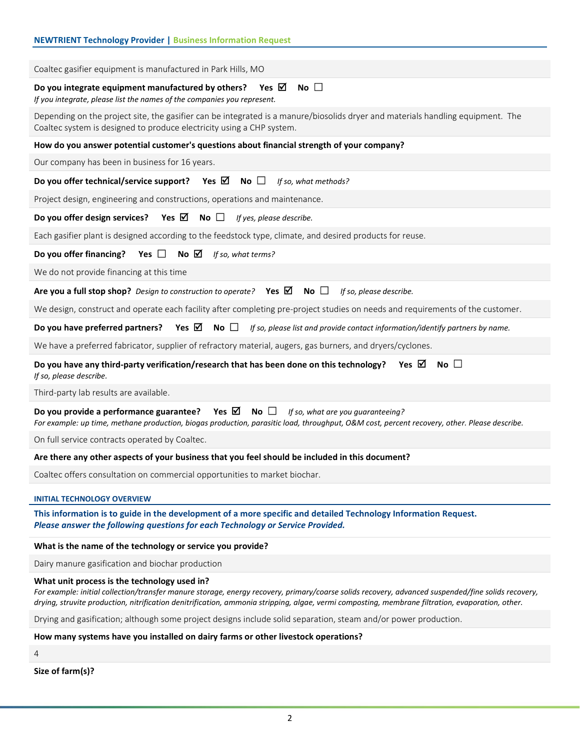| <b>NEWTRIENT Technology Provider   Business Information Request</b>                                                                                                                                                                                                                                                                                    |  |  |  |
|--------------------------------------------------------------------------------------------------------------------------------------------------------------------------------------------------------------------------------------------------------------------------------------------------------------------------------------------------------|--|--|--|
|                                                                                                                                                                                                                                                                                                                                                        |  |  |  |
| Coaltec gasifier equipment is manufactured in Park Hills, MO                                                                                                                                                                                                                                                                                           |  |  |  |
| No $\square$<br>Do you integrate equipment manufactured by others? Yes $\boxtimes$<br>If you integrate, please list the names of the companies you represent.                                                                                                                                                                                          |  |  |  |
| Depending on the project site, the gasifier can be integrated is a manure/biosolids dryer and materials handling equipment. The<br>Coaltec system is designed to produce electricity using a CHP system.                                                                                                                                               |  |  |  |
| How do you answer potential customer's questions about financial strength of your company?                                                                                                                                                                                                                                                             |  |  |  |
| Our company has been in business for 16 years.                                                                                                                                                                                                                                                                                                         |  |  |  |
| Do you offer technical/service support? Yes $\boxtimes$ No $\Box$<br>If so, what methods?                                                                                                                                                                                                                                                              |  |  |  |
| Project design, engineering and constructions, operations and maintenance.                                                                                                                                                                                                                                                                             |  |  |  |
| Do you offer design services? Yes $\boxtimes$ No $\square$<br>If yes, please describe.                                                                                                                                                                                                                                                                 |  |  |  |
| Each gasifier plant is designed according to the feedstock type, climate, and desired products for reuse.                                                                                                                                                                                                                                              |  |  |  |
| <b>Do you offer financing?</b> Yes $\Box$ No $\Box$ If so, what terms?                                                                                                                                                                                                                                                                                 |  |  |  |
| We do not provide financing at this time                                                                                                                                                                                                                                                                                                               |  |  |  |
| Are you a full stop shop? Design to construction to operate? Yes $\boxtimes$ No $\square$<br>If so, please describe.                                                                                                                                                                                                                                   |  |  |  |
| We design, construct and operate each facility after completing pre-project studies on needs and requirements of the customer.                                                                                                                                                                                                                         |  |  |  |
| <b>Do you have preferred partners?</b> Yes $\boxtimes$ No $\Box$ If so, please list and provide contact information/identify partners by name.                                                                                                                                                                                                         |  |  |  |
| We have a preferred fabricator, supplier of refractory material, augers, gas burners, and dryers/cyclones.                                                                                                                                                                                                                                             |  |  |  |
| No $\square$<br>Do you have any third-party verification/research that has been done on this technology? Yes $\boxtimes$<br>If so, please describe.                                                                                                                                                                                                    |  |  |  |
| Third-party lab results are available.                                                                                                                                                                                                                                                                                                                 |  |  |  |
| Yes $\boxtimes$<br>Do you provide a performance guarantee?<br>No $\Box$<br>If so, what are you guaranteeing?<br>For example: up time, methane production, biogas production, parasitic load, throughput, O&M cost, percent recovery, other. Please describe.                                                                                           |  |  |  |
| On full service contracts operated by Coaltec.                                                                                                                                                                                                                                                                                                         |  |  |  |
| Are there any other aspects of your business that you feel should be included in this document?                                                                                                                                                                                                                                                        |  |  |  |
| Coaltec offers consultation on commercial opportunities to market biochar.                                                                                                                                                                                                                                                                             |  |  |  |
| <b>INITIAL TECHNOLOGY OVERVIEW</b>                                                                                                                                                                                                                                                                                                                     |  |  |  |
| This information is to guide in the development of a more specific and detailed Technology Information Request.<br>Please answer the following questions for each Technology or Service Provided.                                                                                                                                                      |  |  |  |
| What is the name of the technology or service you provide?                                                                                                                                                                                                                                                                                             |  |  |  |
| Dairy manure gasification and biochar production                                                                                                                                                                                                                                                                                                       |  |  |  |
| What unit process is the technology used in?<br>For example: initial collection/transfer manure storage, energy recovery, primary/coarse solids recovery, advanced suspended/fine solids recovery,<br>drying, struvite production, nitrification denitrification, ammonia stripping, algae, vermi composting, membrane filtration, evaporation, other. |  |  |  |
| Drying and gasification; although some project designs include solid separation, steam and/or power production.                                                                                                                                                                                                                                        |  |  |  |
| How many systems have you installed on dairy farms or other livestock operations?                                                                                                                                                                                                                                                                      |  |  |  |

4

Size of farm(s)?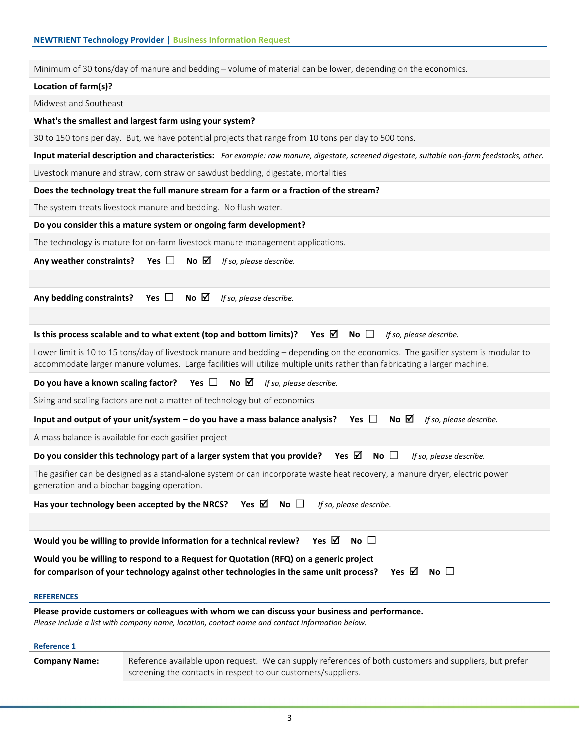| Minimum of 30 tons/day of manure and bedding – volume of material can be lower, depending on the economics. |                                                                                                                                                                                                                                                               |  |  |  |
|-------------------------------------------------------------------------------------------------------------|---------------------------------------------------------------------------------------------------------------------------------------------------------------------------------------------------------------------------------------------------------------|--|--|--|
| Location of farm(s)?                                                                                        |                                                                                                                                                                                                                                                               |  |  |  |
| Midwest and Southeast                                                                                       |                                                                                                                                                                                                                                                               |  |  |  |
|                                                                                                             | What's the smallest and largest farm using your system?                                                                                                                                                                                                       |  |  |  |
|                                                                                                             | 30 to 150 tons per day. But, we have potential projects that range from 10 tons per day to 500 tons.                                                                                                                                                          |  |  |  |
|                                                                                                             | Input material description and characteristics: For example: raw manure, digestate, screened digestate, suitable non-farm feedstocks, other.                                                                                                                  |  |  |  |
|                                                                                                             | Livestock manure and straw, corn straw or sawdust bedding, digestate, mortalities                                                                                                                                                                             |  |  |  |
|                                                                                                             | Does the technology treat the full manure stream for a farm or a fraction of the stream?                                                                                                                                                                      |  |  |  |
|                                                                                                             | The system treats livestock manure and bedding. No flush water.                                                                                                                                                                                               |  |  |  |
|                                                                                                             | Do you consider this a mature system or ongoing farm development?                                                                                                                                                                                             |  |  |  |
|                                                                                                             | The technology is mature for on-farm livestock manure management applications.                                                                                                                                                                                |  |  |  |
| Any weather constraints? Yes $\Box$                                                                         | No $\boxtimes$<br>If so, please describe.                                                                                                                                                                                                                     |  |  |  |
|                                                                                                             |                                                                                                                                                                                                                                                               |  |  |  |
| Any bedding constraints?                                                                                    | Yes $\Box$<br>No $\boxtimes$<br>If so, please describe.                                                                                                                                                                                                       |  |  |  |
|                                                                                                             |                                                                                                                                                                                                                                                               |  |  |  |
|                                                                                                             | Is this process scalable and to what extent (top and bottom limits)?<br>Yes ⊠<br>No $\square$<br>If so, please describe.                                                                                                                                      |  |  |  |
|                                                                                                             | Lower limit is 10 to 15 tons/day of livestock manure and bedding - depending on the economics. The gasifier system is modular to<br>accommodate larger manure volumes. Large facilities will utilize multiple units rather than fabricating a larger machine. |  |  |  |
|                                                                                                             | Do you have a known scaling factor? Yes $\Box$ No $\boxtimes$<br>If so, please describe.                                                                                                                                                                      |  |  |  |
| Sizing and scaling factors are not a matter of technology but of economics                                  |                                                                                                                                                                                                                                                               |  |  |  |
|                                                                                                             |                                                                                                                                                                                                                                                               |  |  |  |
|                                                                                                             | Yes $\square$<br>No $\boxtimes$<br>Input and output of your unit/system - do you have a mass balance analysis?<br>If so, please describe.                                                                                                                     |  |  |  |
|                                                                                                             | A mass balance is available for each gasifier project                                                                                                                                                                                                         |  |  |  |
|                                                                                                             | Do you consider this technology part of a larger system that you provide? Yes $\boxtimes$ No $\Box$<br>If so, please describe.                                                                                                                                |  |  |  |
| generation and a biochar bagging operation.                                                                 | The gasifier can be designed as a stand-alone system or can incorporate waste heat recovery, a manure dryer, electric power                                                                                                                                   |  |  |  |
|                                                                                                             | Yes $\boxtimes$ No $\square$<br>Has your technology been accepted by the NRCS?<br>If so, please describe.                                                                                                                                                     |  |  |  |
|                                                                                                             |                                                                                                                                                                                                                                                               |  |  |  |
|                                                                                                             | No $\square$<br>Yes $\boxtimes$<br>Would you be willing to provide information for a technical review?                                                                                                                                                        |  |  |  |
|                                                                                                             | Would you be willing to respond to a Request for Quotation (RFQ) on a generic project<br>Yes $\boxtimes$<br>for comparison of your technology against other technologies in the same unit process?<br>No $\Box$                                               |  |  |  |
| <b>REFERENCES</b>                                                                                           |                                                                                                                                                                                                                                                               |  |  |  |
|                                                                                                             | Please provide customers or colleagues with whom we can discuss your business and performance.<br>Please include a list with company name, location, contact name and contact information below.                                                              |  |  |  |
| <b>Reference 1</b>                                                                                          |                                                                                                                                                                                                                                                               |  |  |  |